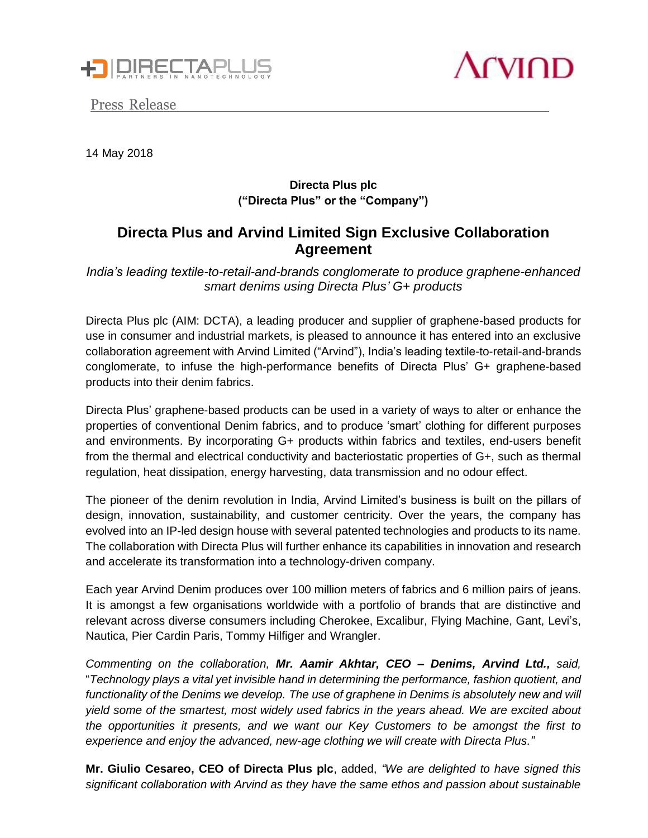





14 May 2018

## **Directa Plus plc ("Directa Plus" or the "Company")**

# **Directa Plus and Arvind Limited Sign Exclusive Collaboration Agreement**

*India's leading textile-to-retail-and-brands conglomerate to produce graphene-enhanced smart denims using Directa Plus' G+ products*

Directa Plus plc (AIM: DCTA), a leading producer and supplier of graphene-based products for use in consumer and industrial markets, is pleased to announce it has entered into an exclusive collaboration agreement with Arvind Limited ("Arvind"), India's leading textile-to-retail-and-brands conglomerate, to infuse the high-performance benefits of Directa Plus' G+ graphene-based products into their denim fabrics.

Directa Plus' graphene-based products can be used in a variety of ways to alter or enhance the properties of conventional Denim fabrics, and to produce 'smart' clothing for different purposes and environments. By incorporating G+ products within fabrics and textiles, end-users benefit from the thermal and electrical conductivity and bacteriostatic properties of G+, such as thermal regulation, heat dissipation, energy harvesting, data transmission and no odour effect.

The pioneer of the denim revolution in India, Arvind Limited's business is built on the pillars of design, innovation, sustainability, and customer centricity. Over the years, the company has evolved into an IP-led design house with several patented technologies and products to its name. The collaboration with Directa Plus will further enhance its capabilities in innovation and research and accelerate its transformation into a technology-driven company.

Each year Arvind Denim produces over 100 million meters of fabrics and 6 million pairs of jeans. It is amongst a few organisations worldwide with a portfolio of brands that are distinctive and relevant across diverse consumers including Cherokee, Excalibur, Flying Machine, Gant, Levi's, Nautica, Pier Cardin Paris, Tommy Hilfiger and Wrangler.

*Commenting on the collaboration, Mr. Aamir Akhtar, CEO – Denims, Arvind Ltd., said,* "*Technology plays a vital yet invisible hand in determining the performance, fashion quotient, and functionality of the Denims we develop. The use of graphene in Denims is absolutely new and will yield some of the smartest, most widely used fabrics in the years ahead. We are excited about the opportunities it presents, and we want our Key Customers to be amongst the first to experience and enjoy the advanced, new-age clothing we will create with Directa Plus."*

**Mr. Giulio Cesareo, CEO of Directa Plus plc**, added, *"We are delighted to have signed this significant collaboration with Arvind as they have the same ethos and passion about sustainable*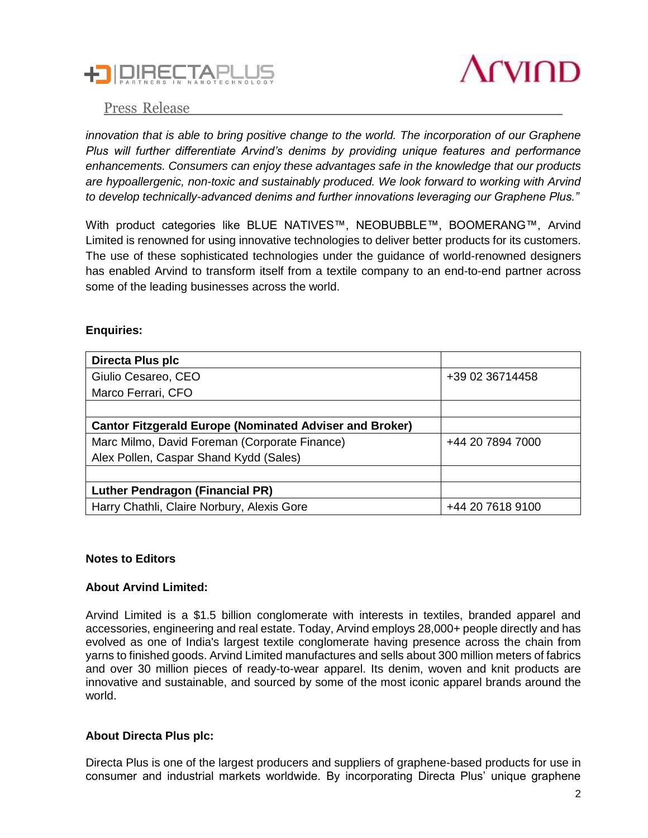



## Press Release

*innovation that is able to bring positive change to the world. The incorporation of our Graphene Plus will further differentiate Arvind's denims by providing unique features and performance enhancements. Consumers can enjoy these advantages safe in the knowledge that our products are hypoallergenic, non-toxic and sustainably produced. We look forward to working with Arvind to develop technically-advanced denims and further innovations leveraging our Graphene Plus."*

With product categories like BLUE NATIVES™, NEOBUBBLE™, BOOMERANG™, Arvind Limited is renowned for using innovative technologies to deliver better products for its customers. The use of these sophisticated technologies under the guidance of world-renowned designers has enabled Arvind to transform itself from a textile company to an end-to-end partner across some of the leading businesses across the world.

#### **Enquiries:**

| Directa Plus plc                                               |                  |
|----------------------------------------------------------------|------------------|
| Giulio Cesareo, CEO                                            | +39 02 36714458  |
| Marco Ferrari, CFO                                             |                  |
|                                                                |                  |
| <b>Cantor Fitzgerald Europe (Nominated Adviser and Broker)</b> |                  |
| Marc Milmo, David Foreman (Corporate Finance)                  | +44 20 7894 7000 |
| Alex Pollen, Caspar Shand Kydd (Sales)                         |                  |
|                                                                |                  |
| Luther Pendragon (Financial PR)                                |                  |
| Harry Chathli, Claire Norbury, Alexis Gore                     | +44 20 7618 9100 |

#### **Notes to Editors**

#### **About Arvind Limited:**

Arvind Limited is a \$1.5 billion conglomerate with interests in textiles, branded apparel and accessories, engineering and real estate. Today, Arvind employs 28,000+ people directly and has evolved as one of India's largest textile conglomerate having presence across the chain from yarns to finished goods. Arvind Limited manufactures and sells about 300 million meters of fabrics and over 30 million pieces of ready-to-wear apparel. Its denim, woven and knit products are innovative and sustainable, and sourced by some of the most iconic apparel brands around the world.

#### **About Directa Plus plc:**

Directa Plus is one of the largest producers and suppliers of graphene-based products for use in consumer and industrial markets worldwide. By incorporating Directa Plus' unique graphene